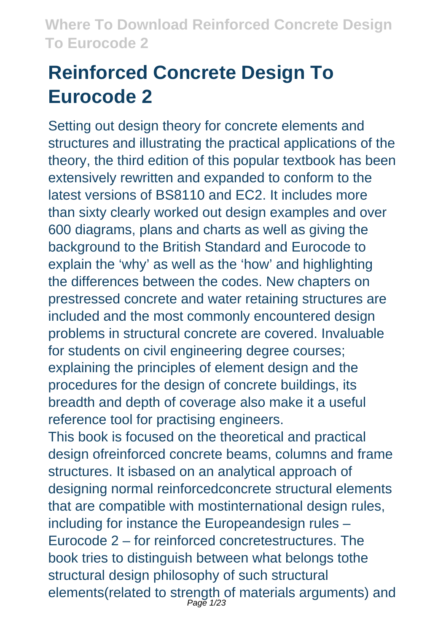# **Reinforced Concrete Design To Eurocode 2**

Setting out design theory for concrete elements and structures and illustrating the practical applications of the theory, the third edition of this popular textbook has been extensively rewritten and expanded to conform to the latest versions of BS8110 and EC2. It includes more than sixty clearly worked out design examples and over 600 diagrams, plans and charts as well as giving the background to the British Standard and Eurocode to explain the 'why' as well as the 'how' and highlighting the differences between the codes. New chapters on prestressed concrete and water retaining structures are included and the most commonly encountered design problems in structural concrete are covered. Invaluable for students on civil engineering degree courses; explaining the principles of element design and the procedures for the design of concrete buildings, its breadth and depth of coverage also make it a useful reference tool for practising engineers. This book is focused on the theoretical and practical design ofreinforced concrete beams, columns and frame structures. It isbased on an analytical approach of designing normal reinforcedconcrete structural elements that are compatible with mostinternational design rules, including for instance the Europeandesign rules – Eurocode 2 – for reinforced concretestructures. The book tries to distinguish between what belongs tothe structural design philosophy of such structural elements(related to strength of materials arguments) and<br><sup>Page 1/23</sup>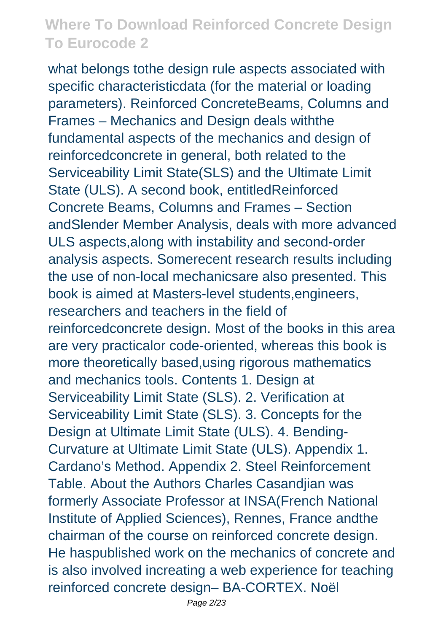what belongs tothe design rule aspects associated with specific characteristicdata (for the material or loading parameters). Reinforced ConcreteBeams, Columns and Frames – Mechanics and Design deals withthe fundamental aspects of the mechanics and design of reinforcedconcrete in general, both related to the Serviceability Limit State(SLS) and the Ultimate Limit State (ULS). A second book, entitledReinforced Concrete Beams, Columns and Frames – Section andSlender Member Analysis, deals with more advanced ULS aspects,along with instability and second-order analysis aspects. Somerecent research results including the use of non-local mechanicsare also presented. This book is aimed at Masters-level students,engineers, researchers and teachers in the field of reinforcedconcrete design. Most of the books in this area are very practicalor code-oriented, whereas this book is more theoretically based,using rigorous mathematics and mechanics tools. Contents 1. Design at Serviceability Limit State (SLS). 2. Verification at Serviceability Limit State (SLS). 3. Concepts for the Design at Ultimate Limit State (ULS). 4. Bending-Curvature at Ultimate Limit State (ULS). Appendix 1. Cardano's Method. Appendix 2. Steel Reinforcement Table. About the Authors Charles Casandjian was formerly Associate Professor at INSA(French National Institute of Applied Sciences), Rennes, France andthe chairman of the course on reinforced concrete design. He haspublished work on the mechanics of concrete and is also involved increating a web experience for teaching reinforced concrete design– BA-CORTEX. Noël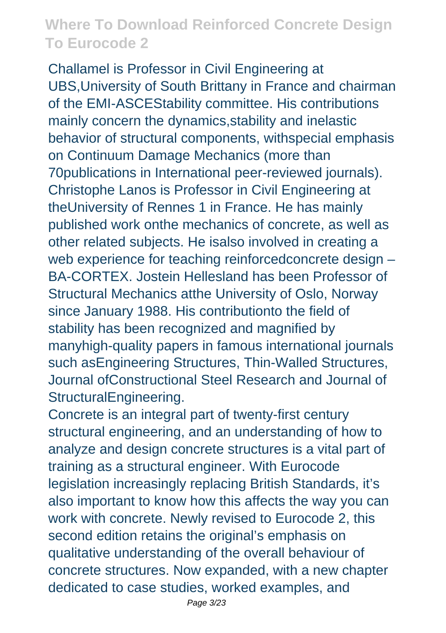Challamel is Professor in Civil Engineering at UBS,University of South Brittany in France and chairman of the EMI-ASCEStability committee. His contributions mainly concern the dynamics,stability and inelastic behavior of structural components, withspecial emphasis on Continuum Damage Mechanics (more than 70publications in International peer-reviewed journals). Christophe Lanos is Professor in Civil Engineering at theUniversity of Rennes 1 in France. He has mainly published work onthe mechanics of concrete, as well as other related subjects. He isalso involved in creating a web experience for teaching reinforcedconcrete design – BA-CORTEX. Jostein Hellesland has been Professor of Structural Mechanics atthe University of Oslo, Norway since January 1988. His contributionto the field of stability has been recognized and magnified by manyhigh-quality papers in famous international journals such asEngineering Structures, Thin-Walled Structures, Journal ofConstructional Steel Research and Journal of StructuralEngineering.

Concrete is an integral part of twenty-first century structural engineering, and an understanding of how to analyze and design concrete structures is a vital part of training as a structural engineer. With Eurocode legislation increasingly replacing British Standards, it's also important to know how this affects the way you can work with concrete. Newly revised to Eurocode 2, this second edition retains the original's emphasis on qualitative understanding of the overall behaviour of concrete structures. Now expanded, with a new chapter dedicated to case studies, worked examples, and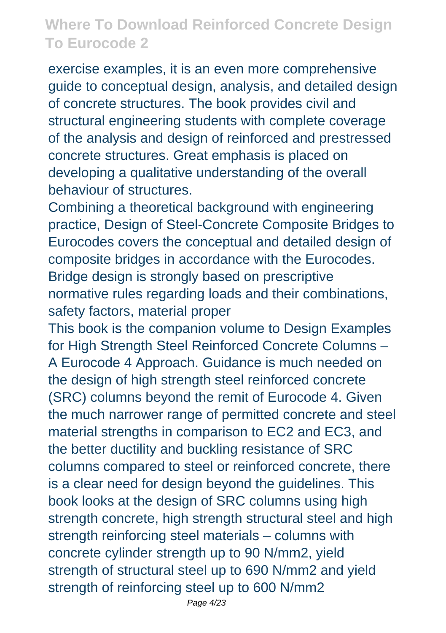exercise examples, it is an even more comprehensive guide to conceptual design, analysis, and detailed design of concrete structures. The book provides civil and structural engineering students with complete coverage of the analysis and design of reinforced and prestressed concrete structures. Great emphasis is placed on developing a qualitative understanding of the overall behaviour of structures.

Combining a theoretical background with engineering practice, Design of Steel-Concrete Composite Bridges to Eurocodes covers the conceptual and detailed design of composite bridges in accordance with the Eurocodes. Bridge design is strongly based on prescriptive normative rules regarding loads and their combinations, safety factors, material proper

This book is the companion volume to Design Examples for High Strength Steel Reinforced Concrete Columns – A Eurocode 4 Approach. Guidance is much needed on the design of high strength steel reinforced concrete (SRC) columns beyond the remit of Eurocode 4. Given the much narrower range of permitted concrete and steel material strengths in comparison to EC2 and EC3, and the better ductility and buckling resistance of SRC columns compared to steel or reinforced concrete, there is a clear need for design beyond the guidelines. This book looks at the design of SRC columns using high strength concrete, high strength structural steel and high strength reinforcing steel materials – columns with concrete cylinder strength up to 90 N/mm2, yield strength of structural steel up to 690 N/mm2 and yield strength of reinforcing steel up to 600 N/mm2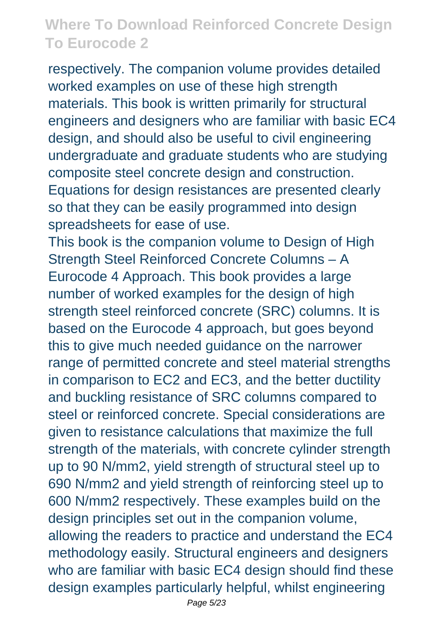respectively. The companion volume provides detailed worked examples on use of these high strength materials. This book is written primarily for structural engineers and designers who are familiar with basic EC4 design, and should also be useful to civil engineering undergraduate and graduate students who are studying composite steel concrete design and construction. Equations for design resistances are presented clearly so that they can be easily programmed into design spreadsheets for ease of use.

This book is the companion volume to Design of High Strength Steel Reinforced Concrete Columns – A Eurocode 4 Approach. This book provides a large number of worked examples for the design of high strength steel reinforced concrete (SRC) columns. It is based on the Eurocode 4 approach, but goes beyond this to give much needed guidance on the narrower range of permitted concrete and steel material strengths in comparison to EC2 and EC3, and the better ductility and buckling resistance of SRC columns compared to steel or reinforced concrete. Special considerations are given to resistance calculations that maximize the full strength of the materials, with concrete cylinder strength up to 90 N/mm2, yield strength of structural steel up to 690 N/mm2 and yield strength of reinforcing steel up to 600 N/mm2 respectively. These examples build on the design principles set out in the companion volume, allowing the readers to practice and understand the EC4 methodology easily. Structural engineers and designers who are familiar with basic EC4 design should find these design examples particularly helpful, whilst engineering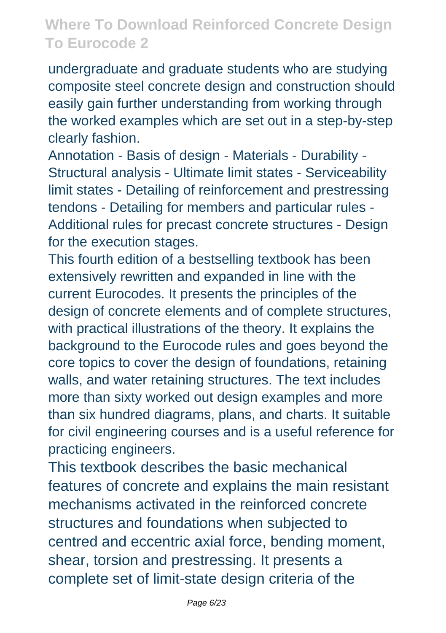undergraduate and graduate students who are studying composite steel concrete design and construction should easily gain further understanding from working through the worked examples which are set out in a step-by-step clearly fashion.

Annotation - Basis of design - Materials - Durability - Structural analysis - Ultimate limit states - Serviceability limit states - Detailing of reinforcement and prestressing tendons - Detailing for members and particular rules - Additional rules for precast concrete structures - Design for the execution stages.

This fourth edition of a bestselling textbook has been extensively rewritten and expanded in line with the current Eurocodes. It presents the principles of the design of concrete elements and of complete structures, with practical illustrations of the theory. It explains the background to the Eurocode rules and goes beyond the core topics to cover the design of foundations, retaining walls, and water retaining structures. The text includes more than sixty worked out design examples and more than six hundred diagrams, plans, and charts. It suitable for civil engineering courses and is a useful reference for practicing engineers.

This textbook describes the basic mechanical features of concrete and explains the main resistant mechanisms activated in the reinforced concrete structures and foundations when subjected to centred and eccentric axial force, bending moment, shear, torsion and prestressing. It presents a complete set of limit-state design criteria of the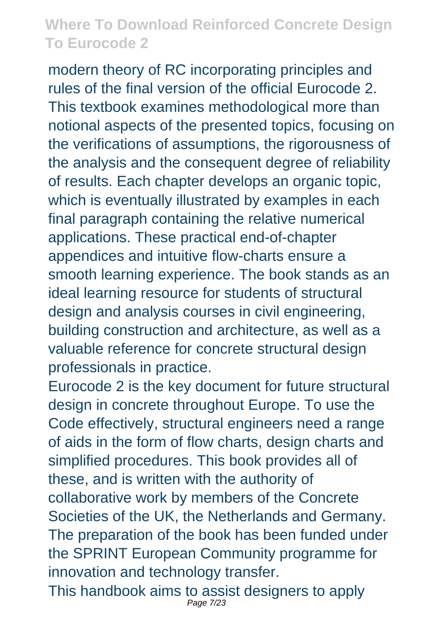modern theory of RC incorporating principles and rules of the final version of the official Eurocode 2. This textbook examines methodological more than notional aspects of the presented topics, focusing on the verifications of assumptions, the rigorousness of the analysis and the consequent degree of reliability of results. Each chapter develops an organic topic, which is eventually illustrated by examples in each final paragraph containing the relative numerical applications. These practical end-of-chapter appendices and intuitive flow-charts ensure a smooth learning experience. The book stands as an ideal learning resource for students of structural design and analysis courses in civil engineering. building construction and architecture, as well as a valuable reference for concrete structural design professionals in practice.

Eurocode 2 is the key document for future structural design in concrete throughout Europe. To use the Code effectively, structural engineers need a range of aids in the form of flow charts, design charts and simplified procedures. This book provides all of these, and is written with the authority of collaborative work by members of the Concrete Societies of the UK, the Netherlands and Germany. The preparation of the book has been funded under the SPRINT European Community programme for innovation and technology transfer.

This handbook aims to assist designers to apply Page 7/23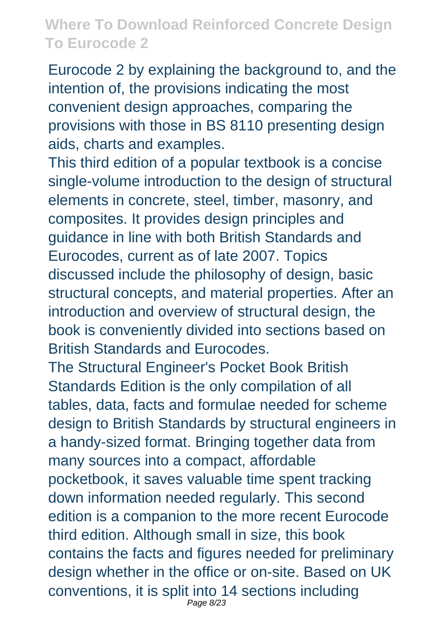Eurocode 2 by explaining the background to, and the intention of, the provisions indicating the most convenient design approaches, comparing the provisions with those in BS 8110 presenting design aids, charts and examples.

This third edition of a popular textbook is a concise single-volume introduction to the design of structural elements in concrete, steel, timber, masonry, and composites. It provides design principles and guidance in line with both British Standards and Eurocodes, current as of late 2007. Topics discussed include the philosophy of design, basic structural concepts, and material properties. After an introduction and overview of structural design, the book is conveniently divided into sections based on British Standards and Eurocodes.

The Structural Engineer's Pocket Book British Standards Edition is the only compilation of all tables, data, facts and formulae needed for scheme design to British Standards by structural engineers in a handy-sized format. Bringing together data from many sources into a compact, affordable pocketbook, it saves valuable time spent tracking down information needed regularly. This second edition is a companion to the more recent Eurocode third edition. Although small in size, this book contains the facts and figures needed for preliminary design whether in the office or on-site. Based on UK conventions, it is split into 14 sections including Page 8/23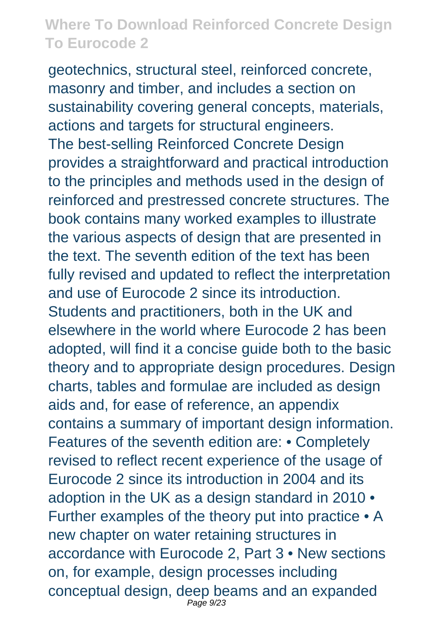geotechnics, structural steel, reinforced concrete, masonry and timber, and includes a section on sustainability covering general concepts, materials, actions and targets for structural engineers. The best-selling Reinforced Concrete Design provides a straightforward and practical introduction to the principles and methods used in the design of reinforced and prestressed concrete structures. The book contains many worked examples to illustrate the various aspects of design that are presented in the text. The seventh edition of the text has been fully revised and updated to reflect the interpretation and use of Eurocode 2 since its introduction. Students and practitioners, both in the UK and elsewhere in the world where Eurocode 2 has been adopted, will find it a concise guide both to the basic theory and to appropriate design procedures. Design charts, tables and formulae are included as design aids and, for ease of reference, an appendix contains a summary of important design information. Features of the seventh edition are: • Completely revised to reflect recent experience of the usage of Eurocode 2 since its introduction in 2004 and its adoption in the UK as a design standard in 2010 • Further examples of the theory put into practice • A new chapter on water retaining structures in accordance with Eurocode 2, Part 3 • New sections on, for example, design processes including conceptual design, deep beams and an expanded Page 9/23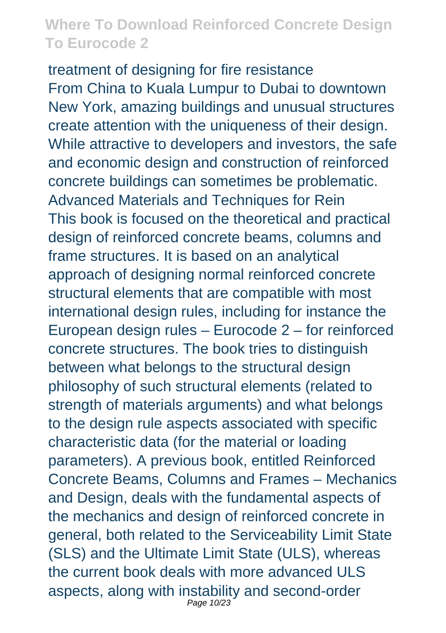treatment of designing for fire resistance From China to Kuala Lumpur to Dubai to downtown New York, amazing buildings and unusual structures create attention with the uniqueness of their design. While attractive to developers and investors, the safe and economic design and construction of reinforced concrete buildings can sometimes be problematic. Advanced Materials and Techniques for Rein This book is focused on the theoretical and practical design of reinforced concrete beams, columns and frame structures. It is based on an analytical approach of designing normal reinforced concrete structural elements that are compatible with most international design rules, including for instance the European design rules – Eurocode 2 – for reinforced concrete structures. The book tries to distinguish between what belongs to the structural design philosophy of such structural elements (related to strength of materials arguments) and what belongs to the design rule aspects associated with specific characteristic data (for the material or loading parameters). A previous book, entitled Reinforced Concrete Beams, Columns and Frames – Mechanics and Design, deals with the fundamental aspects of the mechanics and design of reinforced concrete in general, both related to the Serviceability Limit State (SLS) and the Ultimate Limit State (ULS), whereas the current book deals with more advanced ULS aspects, along with instability and second-order Page 10/23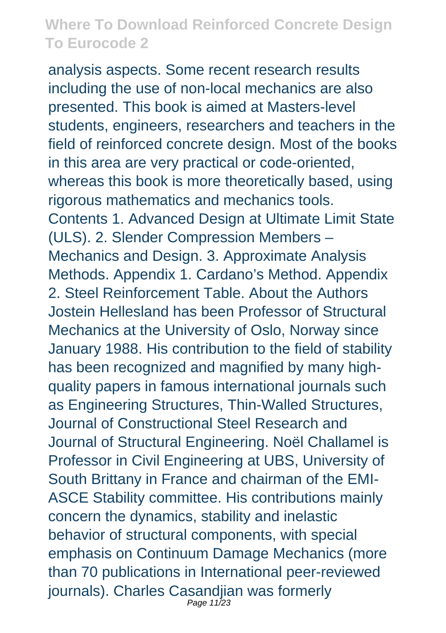analysis aspects. Some recent research results including the use of non-local mechanics are also presented. This book is aimed at Masters-level students, engineers, researchers and teachers in the field of reinforced concrete design. Most of the books in this area are very practical or code-oriented, whereas this book is more theoretically based, using rigorous mathematics and mechanics tools. Contents 1. Advanced Design at Ultimate Limit State (ULS). 2. Slender Compression Members – Mechanics and Design. 3. Approximate Analysis Methods. Appendix 1. Cardano's Method. Appendix 2. Steel Reinforcement Table. About the Authors Jostein Hellesland has been Professor of Structural Mechanics at the University of Oslo, Norway since January 1988. His contribution to the field of stability has been recognized and magnified by many highquality papers in famous international journals such as Engineering Structures, Thin-Walled Structures, Journal of Constructional Steel Research and Journal of Structural Engineering. Noël Challamel is Professor in Civil Engineering at UBS, University of South Brittany in France and chairman of the EMI-ASCE Stability committee. His contributions mainly concern the dynamics, stability and inelastic behavior of structural components, with special emphasis on Continuum Damage Mechanics (more than 70 publications in International peer-reviewed journals). Charles Casandjian was formerly Page 11/23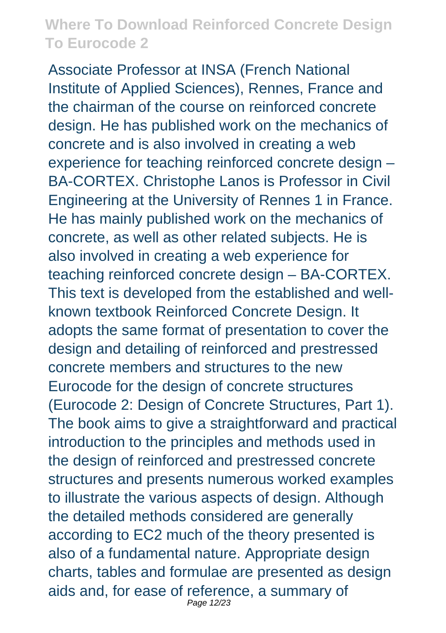Associate Professor at INSA (French National Institute of Applied Sciences), Rennes, France and the chairman of the course on reinforced concrete design. He has published work on the mechanics of concrete and is also involved in creating a web experience for teaching reinforced concrete design – BA-CORTEX. Christophe Lanos is Professor in Civil Engineering at the University of Rennes 1 in France. He has mainly published work on the mechanics of concrete, as well as other related subjects. He is also involved in creating a web experience for teaching reinforced concrete design – BA-CORTEX. This text is developed from the established and wellknown textbook Reinforced Concrete Design. It adopts the same format of presentation to cover the design and detailing of reinforced and prestressed concrete members and structures to the new Eurocode for the design of concrete structures (Eurocode 2: Design of Concrete Structures, Part 1). The book aims to give a straightforward and practical introduction to the principles and methods used in the design of reinforced and prestressed concrete structures and presents numerous worked examples to illustrate the various aspects of design. Although the detailed methods considered are generally according to EC2 much of the theory presented is also of a fundamental nature. Appropriate design charts, tables and formulae are presented as design aids and, for ease of reference, a summary of Page 12/23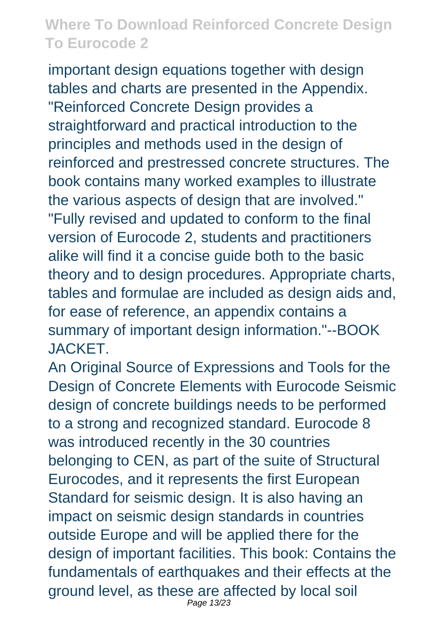important design equations together with design tables and charts are presented in the Appendix. "Reinforced Concrete Design provides a straightforward and practical introduction to the principles and methods used in the design of reinforced and prestressed concrete structures. The book contains many worked examples to illustrate the various aspects of design that are involved." "Fully revised and updated to conform to the final version of Eurocode 2, students and practitioners alike will find it a concise guide both to the basic theory and to design procedures. Appropriate charts, tables and formulae are included as design aids and, for ease of reference, an appendix contains a summary of important design information."--BOOK JACKET.

An Original Source of Expressions and Tools for the Design of Concrete Elements with Eurocode Seismic design of concrete buildings needs to be performed to a strong and recognized standard. Eurocode 8 was introduced recently in the 30 countries belonging to CEN, as part of the suite of Structural Eurocodes, and it represents the first European Standard for seismic design. It is also having an impact on seismic design standards in countries outside Europe and will be applied there for the design of important facilities. This book: Contains the fundamentals of earthquakes and their effects at the ground level, as these are affected by local soil Page 13/23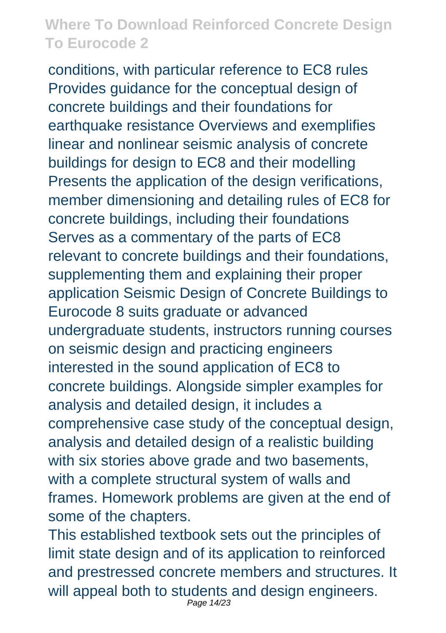conditions, with particular reference to EC8 rules Provides guidance for the conceptual design of concrete buildings and their foundations for earthquake resistance Overviews and exemplifies linear and nonlinear seismic analysis of concrete buildings for design to EC8 and their modelling Presents the application of the design verifications, member dimensioning and detailing rules of EC8 for concrete buildings, including their foundations Serves as a commentary of the parts of EC8 relevant to concrete buildings and their foundations, supplementing them and explaining their proper application Seismic Design of Concrete Buildings to Eurocode 8 suits graduate or advanced undergraduate students, instructors running courses on seismic design and practicing engineers interested in the sound application of EC8 to concrete buildings. Alongside simpler examples for analysis and detailed design, it includes a comprehensive case study of the conceptual design, analysis and detailed design of a realistic building with six stories above grade and two basements, with a complete structural system of walls and frames. Homework problems are given at the end of some of the chapters.

This established textbook sets out the principles of limit state design and of its application to reinforced and prestressed concrete members and structures. It will appeal both to students and design engineers. Page 14/23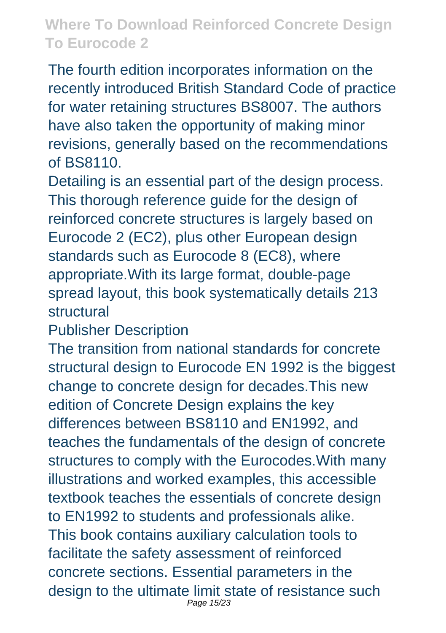The fourth edition incorporates information on the recently introduced British Standard Code of practice for water retaining structures BS8007. The authors have also taken the opportunity of making minor revisions, generally based on the recommendations of BS8110.

Detailing is an essential part of the design process. This thorough reference guide for the design of reinforced concrete structures is largely based on Eurocode 2 (EC2), plus other European design standards such as Eurocode 8 (EC8), where appropriate.With its large format, double-page spread layout, this book systematically details 213 structural

Publisher Description

The transition from national standards for concrete structural design to Eurocode EN 1992 is the biggest change to concrete design for decades.This new edition of Concrete Design explains the key differences between BS8110 and EN1992, and teaches the fundamentals of the design of concrete structures to comply with the Eurocodes.With many illustrations and worked examples, this accessible textbook teaches the essentials of concrete design to EN1992 to students and professionals alike. This book contains auxiliary calculation tools to facilitate the safety assessment of reinforced concrete sections. Essential parameters in the design to the ultimate limit state of resistance such Page 15/23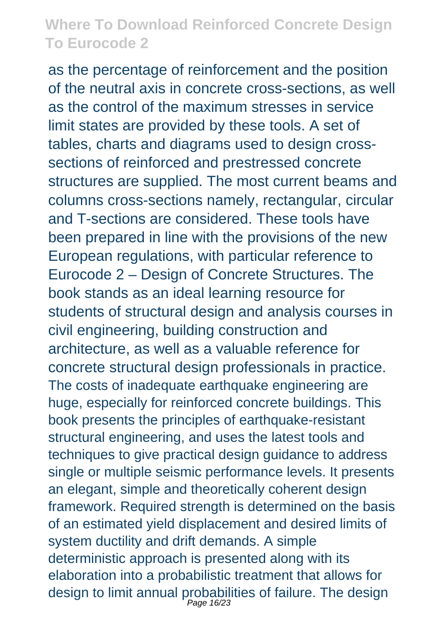as the percentage of reinforcement and the position of the neutral axis in concrete cross-sections, as well as the control of the maximum stresses in service limit states are provided by these tools. A set of tables, charts and diagrams used to design crosssections of reinforced and prestressed concrete structures are supplied. The most current beams and columns cross-sections namely, rectangular, circular and T-sections are considered. These tools have been prepared in line with the provisions of the new European regulations, with particular reference to Eurocode 2 – Design of Concrete Structures. The book stands as an ideal learning resource for students of structural design and analysis courses in civil engineering, building construction and architecture, as well as a valuable reference for concrete structural design professionals in practice. The costs of inadequate earthquake engineering are huge, especially for reinforced concrete buildings. This book presents the principles of earthquake-resistant structural engineering, and uses the latest tools and techniques to give practical design guidance to address single or multiple seismic performance levels. It presents an elegant, simple and theoretically coherent design framework. Required strength is determined on the basis of an estimated yield displacement and desired limits of system ductility and drift demands. A simple deterministic approach is presented along with its elaboration into a probabilistic treatment that allows for design to limit annual probabilities of failure. The design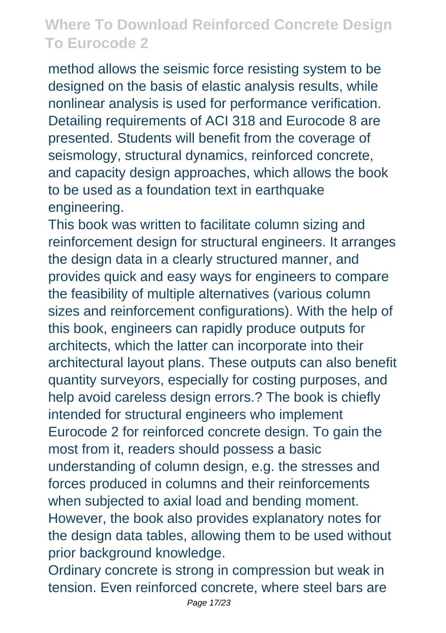method allows the seismic force resisting system to be designed on the basis of elastic analysis results, while nonlinear analysis is used for performance verification. Detailing requirements of ACI 318 and Eurocode 8 are presented. Students will benefit from the coverage of seismology, structural dynamics, reinforced concrete, and capacity design approaches, which allows the book to be used as a foundation text in earthquake engineering.

This book was written to facilitate column sizing and reinforcement design for structural engineers. It arranges the design data in a clearly structured manner, and provides quick and easy ways for engineers to compare the feasibility of multiple alternatives (various column sizes and reinforcement configurations). With the help of this book, engineers can rapidly produce outputs for architects, which the latter can incorporate into their architectural layout plans. These outputs can also benefit quantity surveyors, especially for costing purposes, and help avoid careless design errors.? The book is chiefly intended for structural engineers who implement Eurocode 2 for reinforced concrete design. To gain the most from it, readers should possess a basic understanding of column design, e.g. the stresses and forces produced in columns and their reinforcements when subjected to axial load and bending moment. However, the book also provides explanatory notes for the design data tables, allowing them to be used without prior background knowledge.

Ordinary concrete is strong in compression but weak in tension. Even reinforced concrete, where steel bars are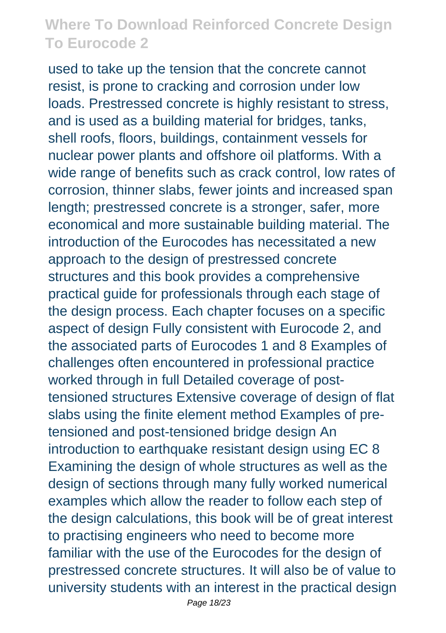used to take up the tension that the concrete cannot resist, is prone to cracking and corrosion under low loads. Prestressed concrete is highly resistant to stress, and is used as a building material for bridges, tanks, shell roofs, floors, buildings, containment vessels for nuclear power plants and offshore oil platforms. With a wide range of benefits such as crack control, low rates of corrosion, thinner slabs, fewer joints and increased span length; prestressed concrete is a stronger, safer, more economical and more sustainable building material. The introduction of the Eurocodes has necessitated a new approach to the design of prestressed concrete structures and this book provides a comprehensive practical guide for professionals through each stage of the design process. Each chapter focuses on a specific aspect of design Fully consistent with Eurocode 2, and the associated parts of Eurocodes 1 and 8 Examples of challenges often encountered in professional practice worked through in full Detailed coverage of posttensioned structures Extensive coverage of design of flat slabs using the finite element method Examples of pretensioned and post-tensioned bridge design An introduction to earthquake resistant design using EC 8 Examining the design of whole structures as well as the design of sections through many fully worked numerical examples which allow the reader to follow each step of the design calculations, this book will be of great interest to practising engineers who need to become more familiar with the use of the Eurocodes for the design of prestressed concrete structures. It will also be of value to university students with an interest in the practical design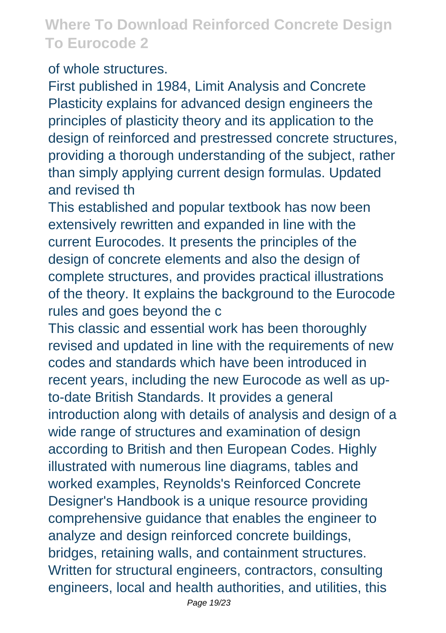#### of whole structures.

First published in 1984, Limit Analysis and Concrete Plasticity explains for advanced design engineers the principles of plasticity theory and its application to the design of reinforced and prestressed concrete structures. providing a thorough understanding of the subject, rather than simply applying current design formulas. Updated and revised th

This established and popular textbook has now been extensively rewritten and expanded in line with the current Eurocodes. It presents the principles of the design of concrete elements and also the design of complete structures, and provides practical illustrations of the theory. It explains the background to the Eurocode rules and goes beyond the c

This classic and essential work has been thoroughly revised and updated in line with the requirements of new codes and standards which have been introduced in recent years, including the new Eurocode as well as upto-date British Standards. It provides a general introduction along with details of analysis and design of a wide range of structures and examination of design according to British and then European Codes. Highly illustrated with numerous line diagrams, tables and worked examples, Reynolds's Reinforced Concrete Designer's Handbook is a unique resource providing comprehensive guidance that enables the engineer to analyze and design reinforced concrete buildings, bridges, retaining walls, and containment structures. Written for structural engineers, contractors, consulting engineers, local and health authorities, and utilities, this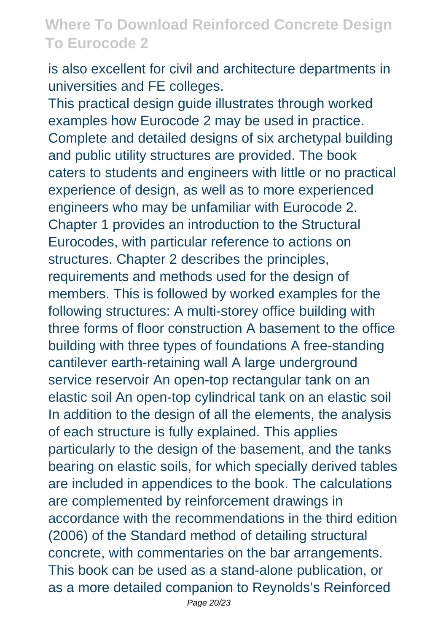is also excellent for civil and architecture departments in universities and FE colleges.

This practical design guide illustrates through worked examples how Eurocode 2 may be used in practice. Complete and detailed designs of six archetypal building and public utility structures are provided. The book caters to students and engineers with little or no practical experience of design, as well as to more experienced engineers who may be unfamiliar with Eurocode 2. Chapter 1 provides an introduction to the Structural Eurocodes, with particular reference to actions on structures. Chapter 2 describes the principles, requirements and methods used for the design of members. This is followed by worked examples for the following structures: A multi-storey office building with three forms of floor construction A basement to the office building with three types of foundations A free-standing cantilever earth-retaining wall A large underground service reservoir An open-top rectangular tank on an elastic soil An open-top cylindrical tank on an elastic soil In addition to the design of all the elements, the analysis of each structure is fully explained. This applies particularly to the design of the basement, and the tanks bearing on elastic soils, for which specially derived tables are included in appendices to the book. The calculations are complemented by reinforcement drawings in accordance with the recommendations in the third edition (2006) of the Standard method of detailing structural concrete, with commentaries on the bar arrangements. This book can be used as a stand-alone publication, or as a more detailed companion to Reynolds's Reinforced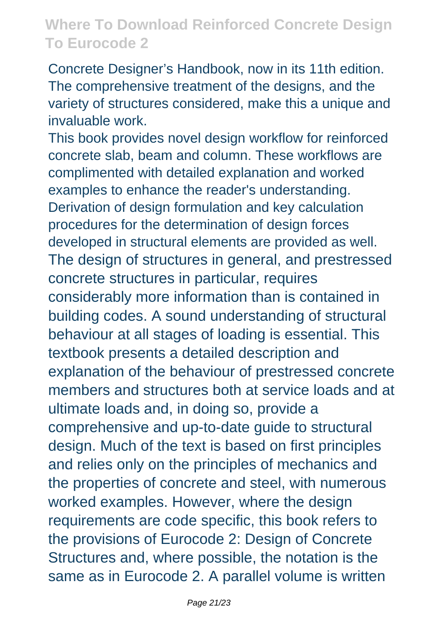Concrete Designer's Handbook, now in its 11th edition. The comprehensive treatment of the designs, and the variety of structures considered, make this a unique and invaluable work.

This book provides novel design workflow for reinforced concrete slab, beam and column. These workflows are complimented with detailed explanation and worked examples to enhance the reader's understanding. Derivation of design formulation and key calculation procedures for the determination of design forces developed in structural elements are provided as well. The design of structures in general, and prestressed concrete structures in particular, requires considerably more information than is contained in building codes. A sound understanding of structural behaviour at all stages of loading is essential. This textbook presents a detailed description and explanation of the behaviour of prestressed concrete members and structures both at service loads and at ultimate loads and, in doing so, provide a comprehensive and up-to-date guide to structural design. Much of the text is based on first principles and relies only on the principles of mechanics and the properties of concrete and steel, with numerous worked examples. However, where the design requirements are code specific, this book refers to the provisions of Eurocode 2: Design of Concrete Structures and, where possible, the notation is the same as in Eurocode 2. A parallel volume is written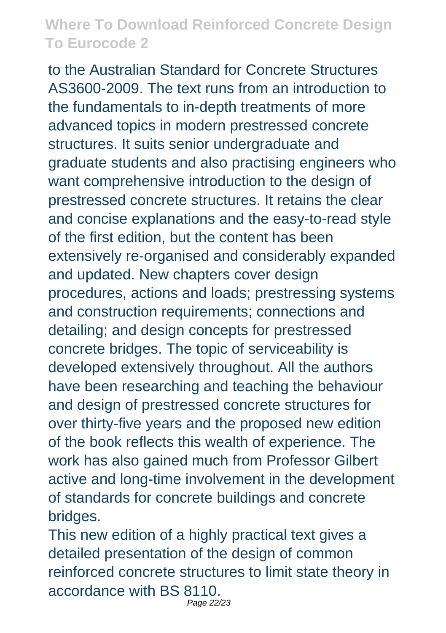to the Australian Standard for Concrete Structures AS3600-2009. The text runs from an introduction to the fundamentals to in-depth treatments of more advanced topics in modern prestressed concrete structures. It suits senior undergraduate and graduate students and also practising engineers who want comprehensive introduction to the design of prestressed concrete structures. It retains the clear and concise explanations and the easy-to-read style of the first edition, but the content has been extensively re-organised and considerably expanded and updated. New chapters cover design procedures, actions and loads; prestressing systems and construction requirements; connections and detailing; and design concepts for prestressed concrete bridges. The topic of serviceability is developed extensively throughout. All the authors have been researching and teaching the behaviour and design of prestressed concrete structures for over thirty-five years and the proposed new edition of the book reflects this wealth of experience. The work has also gained much from Professor Gilbert active and long-time involvement in the development of standards for concrete buildings and concrete bridges.

This new edition of a highly practical text gives a detailed presentation of the design of common reinforced concrete structures to limit state theory in accordance with BS 8110. Page 22/23